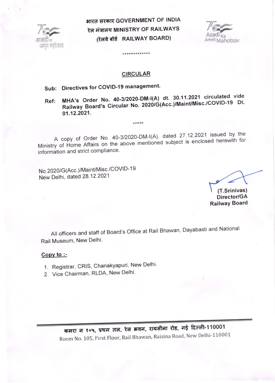

भारत सरकार GOVERNMENT OF INDIA रेल मंत्रालय MINISTRY OF RAILWAYS (रेलवे बोर्ड RAILWAY BOARD)



## **CIRCULAR**

\*\*\*\*\*\*\*\*\*\*\*\*\*

- Sub: Directives for COVID-19 management.
- MHA's Order No. 40-3/2020-DM-I(A) dt. 30.11.2021 circulated vide Railway Board's Circular No. 2020/G(Acc.)/Maint/Misc./COVID-19 Dt. Ref: 01.12.2021.

A copy of Order No. 40-3/2020-DM-I(A), dated 27.12.2021 issued by the Ministry of Home Affairs on the above mentioned subject is enclosed herewith for information and strict compliance.

 $****$ 

No.2020/G(Acc.)/Maint/Misc./COVID-19 New Delhi, dated 28.12.2021

(T.Srinivas) Director/GA **Railway Board** 

All officers and staff of Board's Office at Rail Bhawan, Dayabasti and National Rail Museum, New Delhi.

## Copy to  $\cdot$ -

- 1. Registrar, CRIS, Chanakyapuri, New Delhi.
- 2. Vice Chairman, RLDA, New Delhi.

कमरा न १०५, प्रथम तल, रेल भवन, रायसीना रोड, नई दिल्ली-110001 Room No. 105, First Floor, Rail Bhawan, Raisina Road, New Delhi-110001